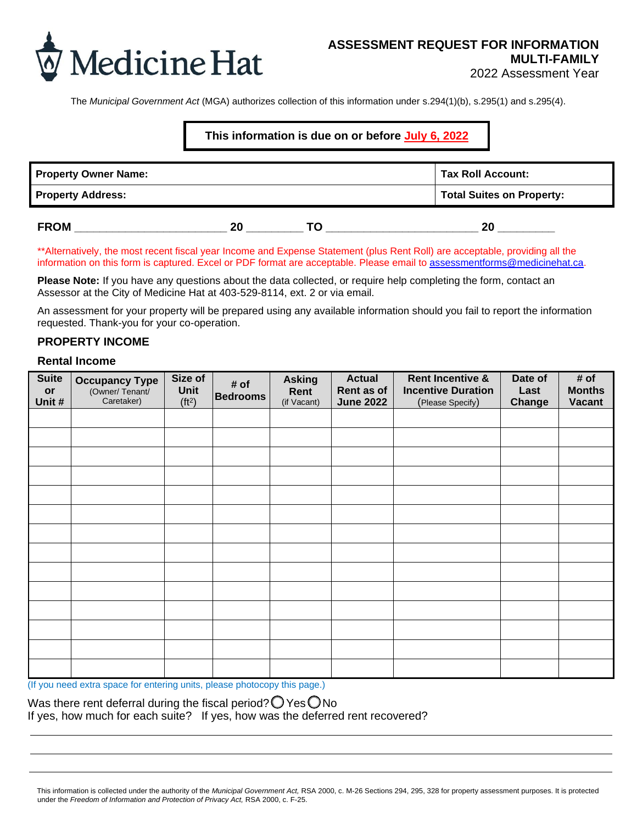

The *Municipal Government Act* (MGA) authorizes collection of this information under s.294(1)(b), s.295(1) and s.295(4).

## **This information is due on or before July 6, 2022**

| <b>Property Owner Name:</b> |    |    | <b>Tax Roll Account:</b>         |
|-----------------------------|----|----|----------------------------------|
| <b>Property Address:</b>    |    |    | <b>Total Suites on Property:</b> |
| <b>FROM</b>                 | 20 | TΟ | 20                               |

\*\*Alternatively, the most recent fiscal year Income and Expense Statement (plus Rent Roll) are acceptable, providing all the information on this form is captured. Excel or PDF format are acceptable. Please email to [assessmentforms@medicinehat.ca.](mailto:assessmentforms@medicinehat.ca)

**Please Note:** If you have any questions about the data collected, or require help completing the form, contact an Assessor at the City of Medicine Hat at 403-529-8114, ext. 2 or via email.

An assessment for your property will be prepared using any available information should you fail to report the information requested. Thank-you for your co-operation.

#### **PROPERTY INCOME**

### **Rental Income**

| <b>Suite</b><br>or<br>Unit # | <b>Occupancy Type</b><br>(Owner/Tenant/<br>Caretaker) | Size of<br>Unit<br>(tt <sup>2</sup> ) | # of<br><b>Bedrooms</b> | <b>Asking</b><br>Rent<br>(if Vacant) | <b>Actual</b><br>Rent as of<br><b>June 2022</b> | <b>Rent Incentive &amp;</b><br><b>Incentive Duration</b><br>(Please Specify) | Date of<br>Last<br>Change | # of<br><b>Months</b><br><b>Vacant</b> |
|------------------------------|-------------------------------------------------------|---------------------------------------|-------------------------|--------------------------------------|-------------------------------------------------|------------------------------------------------------------------------------|---------------------------|----------------------------------------|
|                              |                                                       |                                       |                         |                                      |                                                 |                                                                              |                           |                                        |
|                              |                                                       |                                       |                         |                                      |                                                 |                                                                              |                           |                                        |
|                              |                                                       |                                       |                         |                                      |                                                 |                                                                              |                           |                                        |
|                              |                                                       |                                       |                         |                                      |                                                 |                                                                              |                           |                                        |
|                              |                                                       |                                       |                         |                                      |                                                 |                                                                              |                           |                                        |
|                              |                                                       |                                       |                         |                                      |                                                 |                                                                              |                           |                                        |
|                              |                                                       |                                       |                         |                                      |                                                 |                                                                              |                           |                                        |
|                              |                                                       |                                       |                         |                                      |                                                 |                                                                              |                           |                                        |
|                              |                                                       |                                       |                         |                                      |                                                 |                                                                              |                           |                                        |
|                              |                                                       |                                       |                         |                                      |                                                 |                                                                              |                           |                                        |
|                              |                                                       |                                       |                         |                                      |                                                 |                                                                              |                           |                                        |
|                              |                                                       |                                       |                         |                                      |                                                 |                                                                              |                           |                                        |
|                              |                                                       |                                       |                         |                                      |                                                 |                                                                              |                           |                                        |
|                              |                                                       |                                       |                         |                                      |                                                 |                                                                              |                           |                                        |

(If you need extra space for entering units, please photocopy this page.)

Was there rent deferral during the fiscal period?  $\bigcirc$  Yes  $\bigcirc$  No If yes, how much for each suite? If yes, how was the deferred rent recovered?

This information is collected under the authority of the *Municipal Government Act,* RSA 2000, c. M-26 Sections 294, 295, 328 for property assessment purposes. It is protected under the *Freedom of Information and Protection of Privacy Act,* RSA 2000, c. F-25.